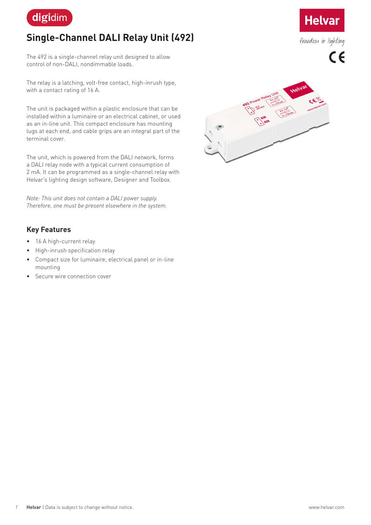

# **Single-Channel DALI Relay Unit (492)**

The 492 is a single-channel relay unit designed to allow control of non-DALI, nondimmable loads.

The relay is a latching, volt-free contact, high-inrush type, with a contact rating of 16 A.

The unit is packaged within a plastic enclosure that can be installed within a luminaire or an electrical cabinet, or used as an in-line unit. This compact enclosure has mounting lugs at each end, and cable grips are an integral part of the terminal cover.

The unit, which is powered from the DALI network, forms a DALI relay node with a typical current consumption of 2 mA. It can be programmed as a single-channel relay with Helvar's lighting design software, Designer and Toolbox.

*Note: This unit does not contain a DALI power supply. Therefore, one must be present elsewhere in the system.*

### **Key Features**

- 16 A high-current relay
- High-inrush specification relay
- Compact size for luminaire, electrical panel or in-line mounting
- Secure wire connection cover





freedom in lighting

 $C \in$